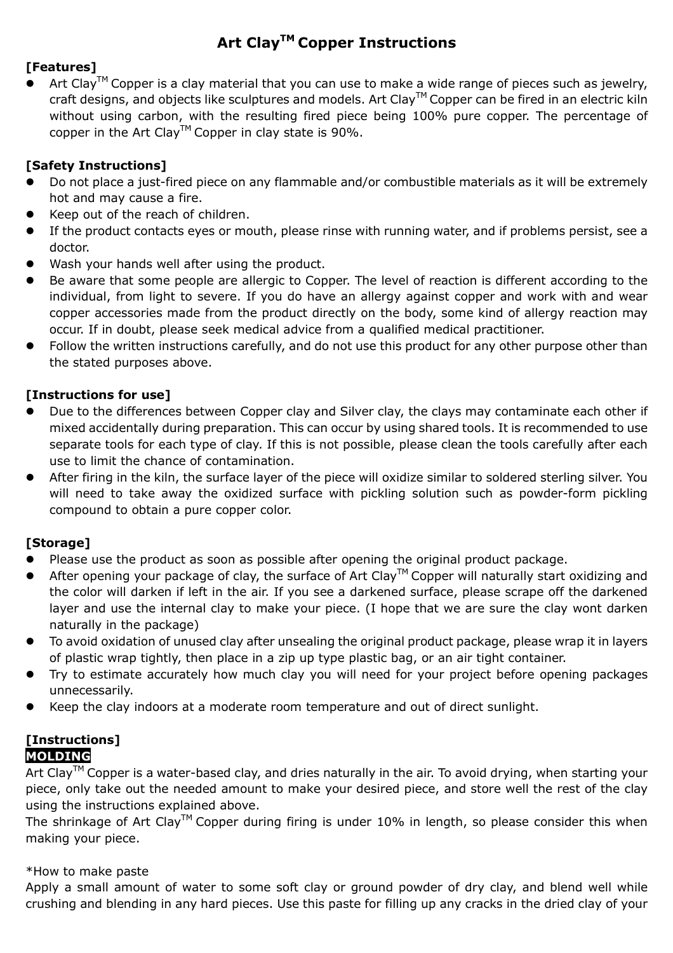# Art Clay<sup>™</sup> Copper Instructions

# [Features]

Art Clay<sup>TM</sup> Copper is a clay material that you can use to make a wide range of pieces such as jewelry, craft designs, and objects like sculptures and models. Art Clay™ Copper can be fired in an electric kiln without using carbon, with the resulting fired piece being 100% pure copper. The percentage of copper in the Art Clay<sup>TM</sup> Copper in clay state is 90%.

## [Safety Instructions]

- Do not place a just-fired piece on any flammable and/or combustible materials as it will be extremely hot and may cause a fire.
- Keep out of the reach of children.
- If the product contacts eyes or mouth, please rinse with running water, and if problems persist, see a doctor.
- Wash your hands well after using the product.
- Be aware that some people are allergic to Copper. The level of reaction is different according to the individual, from light to severe. If you do have an allergy against copper and work with and wear copper accessories made from the product directly on the body, some kind of allergy reaction may occur. If in doubt, please seek medical advice from a qualified medical practitioner.
- Follow the written instructions carefully, and do not use this product for any other purpose other than the stated purposes above.

## [Instructions for use]

- Due to the differences between Copper clay and Silver clay, the clays may contaminate each other if mixed accidentally during preparation. This can occur by using shared tools. It is recommended to use separate tools for each type of clay. If this is not possible, please clean the tools carefully after each use to limit the chance of contamination.
- After firing in the kiln, the surface layer of the piece will oxidize similar to soldered sterling silver. You will need to take away the oxidized surface with pickling solution such as powder-form pickling compound to obtain a pure copper color.

# [Storage]

- Please use the product as soon as possible after opening the original product package.
- After opening your package of clay, the surface of Art Clay<sup>TM</sup> Copper will naturally start oxidizing and the color will darken if left in the air. If you see a darkened surface, please scrape off the darkened layer and use the internal clay to make your piece. (I hope that we are sure the clay wont darken naturally in the package)
- To avoid oxidation of unused clay after unsealing the original product package, please wrap it in layers of plastic wrap tightly, then place in a zip up type plastic bag, or an air tight container.
- Try to estimate accurately how much clay you will need for your project before opening packages unnecessarily.
- Keep the clay indoors at a moderate room temperature and out of direct sunlight.

### [Instructions] MOLDING

Art Clay<sup>TM</sup> Copper is a water-based clay, and dries naturally in the air. To avoid drying, when starting your piece, only take out the needed amount to make your desired piece, and store well the rest of the clay using the instructions explained above.

The shrinkage of Art Clay<sup>TM</sup> Copper during firing is under 10% in length, so please consider this when making your piece.

#### \*How to make paste

Apply a small amount of water to some soft clay or ground powder of dry clay, and blend well while crushing and blending in any hard pieces. Use this paste for filling up any cracks in the dried clay of your